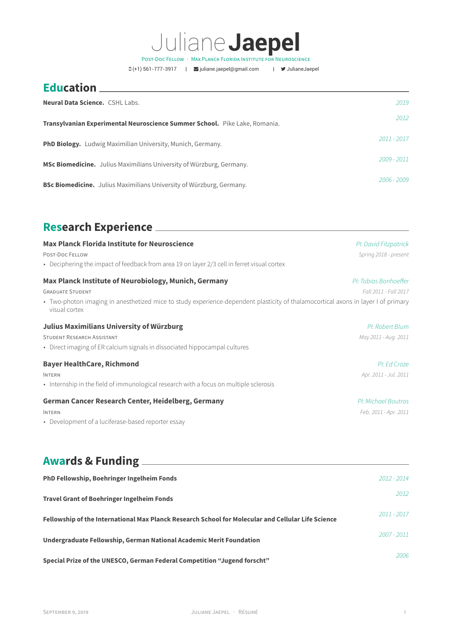# Juliane**Jaepel**

POST-DOC FELLOW · MAX PLANCK FLORIDA INSTITUTE FOR NEUROSCIENCE

 $\Box$ (+1) 561-777-3917 |  $\Box$ [juliane.jaepel@gmail.com](mailto:juliane.jaepel@gmail.com) |  $\Box$ [JulianeJaepel](https://twitter.com/JulianeJaepel)

## **Education**

| Neural Data Science. CSHL Labs.                                             | 2019          |
|-----------------------------------------------------------------------------|---------------|
| Transylvanian Experimental Neuroscience Summer School. Pike Lake, Romania.  | 2012          |
| <b>PhD Biology.</b> Ludwig Maximilian University, Munich, Germany.          | $2011 - 2017$ |
| <b>MSc Biomedicine.</b> Julius Maximilians University of Würzburg, Germany. | 2009 - 2011   |
| <b>BSc Biomedicine.</b> Julius Maximilians University of Würzburg, Germany. | 2006 - 2009   |

#### **Research Experience**

| <b>Max Planck Florida Institute for Neuroscience</b>                                                                                               | PI: David Fitzpatrick |
|----------------------------------------------------------------------------------------------------------------------------------------------------|-----------------------|
| <b>POST-DOC FELLOW</b>                                                                                                                             | Spring 2018 - present |
| • Deciphering the impact of feedback from area 19 on layer 2/3 cell in ferret visual cortex                                                        |                       |
| Max Planck Institute of Neurobiology, Munich, Germany                                                                                              | PI: Tobias Bonhoeffer |
| <b>GRADUATE STUDENT</b>                                                                                                                            | Fall 2011 - Fall 2017 |
| • Two-photon imaging in anesthetized mice to study experience-dependent plasticity of thalamocortical axons in layer I of primary<br>visual cortex |                       |
| <b>Julius Maximilians University of Würzburg</b>                                                                                                   | PI: Robert Blum       |
| <b>STUDENT RESEARCH ASSISTANT</b>                                                                                                                  | May 2011 - Aug. 2011  |
| • Direct imaging of ER calcium signals in dissociated hippocampal cultures                                                                         |                       |
| <b>Bayer HealthCare, Richmond</b>                                                                                                                  | PI: Ed Croze          |
| <b>INTERN</b>                                                                                                                                      | Apr. 2011 - Jul. 2011 |
| • Internship in the field of immunological research with a focus on multiple sclerosis                                                             |                       |
| German Cancer Research Center, Heidelberg, Germany                                                                                                 | PI: Michael Boutros   |
| <b>INTERN</b>                                                                                                                                      | Feb. 2011 - Apr. 2011 |
| • Development of a luciferase-based reporter essay                                                                                                 |                       |

#### **Awards & Funding**

| <b>PhD Fellowship, Boehringer Ingelheim Fonds</b>                                                  | $2012 - 2014$ |      |
|----------------------------------------------------------------------------------------------------|---------------|------|
| <b>Travel Grant of Boehringer Ingelheim Fonds</b>                                                  |               | 2012 |
| Fellowship of the International Max Planck Research School for Molecular and Cellular Life Science | $2011 - 2017$ |      |
| Undergraduate Fellowship, German National Academic Merit Foundation                                | $2007 - 2011$ |      |
| Special Prize of the UNESCO, German Federal Competition "Jugend forscht"                           |               | 2006 |